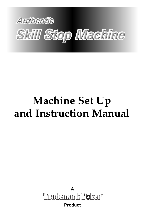

# **Machine Set Up and Instruction Manual**

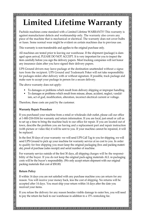# **Limited Lifetime Warranty**

Pachislo machines come standard with a Limited Lifetime WARRANTY! This warranty is against manufacturer defects and workmanship only. The warranty also covers any piece of the machine that is mechanical or electrical. The warranty does not cover bulbs or fuses. Some normal wear might be evident on certain machines due to previous use.

This warranty is non-transferable and applies to the original purchase only.

All machines are tested prior to leaving our warehouse. If the shipment (package) is damaged upon arrival, PLEASE DO NOT ACCEPT. It is very important for you to inspect the item carefully before you sign the delivery papers. Most trucking companies will not honor any insurance claim after you have signed their delivery papers.

UPS Ground drivers may leave package at the destination unattended without a signature from the recipient. UPS Ground and Trademark Poker will not take responsibility for packages stolen after delivery with or without signature. If possible, track package and make sure to accept your package in person for a secure delivery.

The above warranty does not apply:

- To damages or problems which result from delivery shipping or improper handling.
- To damages or problems which result from misuse, abuse, accident, neglect, vandalism, act of god, modification, alteration, incorrect electrical current or voltage.

Therefore, these costs are paid by the customer.

#### **Warranty Repair Procedure**

If you purchased your machine from a retail or wholesale club outlet, please call our office at 1-800-218-0104 for warranty and return information. If you are local, just email or call us to set up a time to bring the machine back to our office for repair. If you are located out of town, describe the problem you are having and a replacement part and repair instruction (with picture or video file) it will be sent to you. If your machine cannot be repaired, it will be replaced.

In the first 30 days of your warranty: we will send UPS Call Tag to you for shipping, we will send UPS Ground to pick up your machine for warranty service at no cost to you. In order to qualify for free shipping you must keep the original packaging (box and packing materials), proof of purchase (sales receipt) and serial number of machine.

For warranty service outside of the first 30 days, all shipping charges will be the responsibility of the buyer. If you do not keep the original pack-aging materials ALL re-packaging costs will be the buyer's responsibility. (We only accept return shipment with our original packing materials that cost of \$50.00)

#### **Return Policy**

If within 14 days you are not satisfied with any purchase machine you can return for any reason. You will receive your money back, less the cost of shipping. No returns will be accepted after 14 days. You must ship your return within 14 days after the date you received your items.

If you refuse the delivery for any reason besides visible damage to outer box, you will need to pay the return fee back to our warehouse in addition to a 15% restocking fee.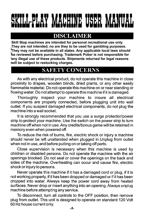# L-PLAY MACHINE USER

# DISCLAIMER

Skill Stop machines are intended for personal recreational use only. They are not intended, no are they to be used for gambling purposes. They may not be available in all states. Any applicable local laws should be reviewed before purchasing. Trademark Poker is not responsible for 'any illegal use of these products. Shipments returned for legal reasons will be subject to restocking charges.

# **SAFETY CONCERNS**

As with any electrical product, do not operate this machine in close proximity to drapes, wooden blinds, dried plants, or any other easily flammable material. Do not operate this machine on or near standing or flowing water. Do not attempt to operate this machine if it is damaged.

Thoroughly inspect your machine to insure all electrical components are properly connected, before plugging unit into wall outlet. If you suspect damaged electrical components, do not plug the machine into a wall socket.

It is strongly recommended that you use a surge protector/power strip to protect your machine. Use the switch on the power strip to turn machine off when not in use. Any credits/bonus game will be retained in memory even when powered off.

To reduce the risk of burns, fire, electric shock or injury a machine should never be left unattended when plugged in Unplug from outlet when not in use, and before putting on or taking off parts.

Close supervision is necessary when this machine is used by children or disabled persons. Do not operate the machine with the air openings blocked. Do not seal or cover the openings on the back and sides of the machine. Overheating can occur and cause fire, electric shock or injury to persons.

Never operate this machine if it has a damaged cord or plug, if it is not working properly, if it has been dropped or damaged or if it has been dropped into water. Always keep the power cord away from heated surfaces. Never drop or insert anything into an opening. Always unplug machine before attempting any service.

To disconnect, turn all controls to the OFF position, then remove plug from outlet. This unit is designed to operate on standard 120 Volt 60 Hz house current only.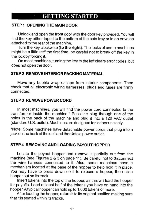### **GETTING STARTED**

#### STEP 1 OPENING THE MAIN DOOR

Unlock and open the front door with the door key provided. You will find the key either taped to the bottom of the coin tray or in an envelop attached to the rear of the machine

Turn the key clockwise (to the right). The locks of some machines might be a little stiff the first time, be careful not to break off the key in the lock by forcing it.

On most machines, turning the key to the left clears error codes, but does not open the door.

#### STEP 2 REMOVE INTERIOR PACKING MATERIAL

Move any bubble wrap or tape from interior components. Then check that all electronic wiring harnesses, plugs and fuses are firmly connected.

#### **STEP 3 REMOVE POWER CORD**

In most machines, you will find the power cord connected to the transformer inside the machine.\* Pass the plug through one of the holes in the back of the machine and plug it into a 120 VAC outlet (standard U.S. outlet). Machines are designed for indoor use only.

\*Note: Some machines have detachable power cords that plug into a jack on the back of the unit and then into a power outlet.

#### STEP 4 REMOVING AND LOADING PAYOUT HOPPER

Locate the payout hopper and remove it partially out from the machine (see Figures 2 & 3 on page 11). Be careful not to disconnect the wire harness connected to it. Also, some machines have a mechanism located at the base of the hopper to help hold it in place. You may have to press down on it to release a hopper, then slide hopper out on its track.

Insert tokens into the top of the hopper, as this will load the hopper for pavoffs. Load at least half of the tokens you have on hand into the hopper. A typical hopper can hold up to 1,000 tokens or more.

After loading the hopper, return it to its original position making sure that it is seated within its tracks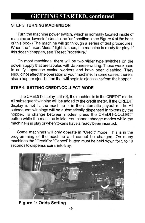# **GETTING STARTED, continued**

#### **STEP 5 TURNING MACHINE ON**

Turn the machine power switch, which is normally located inside of machine on lower left side, to the "on" position. (see Figure 4 at the back of this book) The machine will go through a series of test procedures. When the "Insert Medal" light flashes, the machine is ready for play. If this doesn't happen, see "Reset Procedure."

On most machines, there will be two slider type switches on the power supply that are labeled with Japanese writing. These were used to notify Japanese casino workers and have been disabled. They should not effect the operation of your machine. In some cases, there is also a hopper eject button that will begin to eject coins from the hopper.

#### STEP 6 SETTING CREDIT/COLLECT MODE

If the CREDIT display is lit (0), the machine is in the CREDIT mode. All subsequent winning will be added to the credit meter. If the CREDIT display is not lit, the machine is in the automatic payout mode. All subsequent winnings will be automatically dispensed in tokens by the hopper. To change between modes, press the CREDIT-COLLECT button while the machine is idle. You cannot change modes while the machine is in play or when tokens have already been inserted.

Some machines will only operate in "Credit" mode. This is in the programming of the machine and cannot be changed. On many machines the "Credit" or "Cancel" button must be held down for 5 to 10 seconds to dispense coins into trav.



#### **Figure 1: Odds Setting**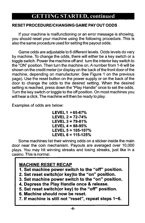# **GETTING STARTED, continued**

#### RESET PROCEDURE/CHANGING GAME PAY OUT ODDS

If your machine is malfunctioning or an error message is showing, you should reset your machine using the following procedure. This is also the same procedure used for setting the payout odds.

Game odds are adjustable to 6 different levels. Odds levels do vary by machine. To change the odds, there will either be a key switch or a toggle switch. Power the machine off and turn the interior key switch to the "ON" position. Then turn the machine on. A number from 1-6 will be shown on the credit meter (or display on the back of the front door of the machine, depending on manufacturer. See Figure 1 on the previous page). Use the reset button on the power supply or on the back of the door to change the odds to the desired setting. When the desired setting is reached, press down the "Play Handle" once to set the odds. Turn the key switch or toggle to the off position. On most machines you will hear a click. The machine will then be ready to play.

Examples of odds are below:

LEVEL  $1 = 65-67%$ LEVEL  $2 = 72 - 74%$ LEVEL  $3 = 79 - 81%$ LEVEL  $4 = 88 - 95%$ LEVEL  $5 = 105 - 107%$ LEVEL  $6 = 115 - 125%$ 

Some machines list their winning odds on a sticker inside the main door near the coin mechanism. Payouts are averaged over 10,000 plays. You may hit winning streaks and losing streaks, just like in a casino. This is normal.

#### **MACHINE RESET RECAP**

1. Set machine power switch to the "off" position.

2. Set reset switch(or key)to the "on" position.

3. Set machine power switch to the "on" position.

4. Depress the Play Handle once & release.

5. Set reset switch(or key) to the "off" position.

6. Machine should now be reset.

7. If machine is still not "reset", repeat steps 1~6.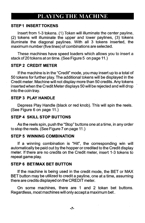# PLAYING THE MACHINE

#### **STEP1 INSERT TOKENS**

Insert from 1-3 tokens. (1) Token will illuminate the center payline, (2) tokens will illuminate the upper and lower paylines, (3) tokens illuminate the diagonal paylines. With all 3 tokens inserted, the maximum number (five lines) of combinations are selected.

These machines have speed loaders which allows you to insert a stack of 20 tokens at on time. (See Figure 5 on page 11.)

#### **STEP 2 CREDIT METER**

If the machine is in the "Credit" mode, you may insert up to a total of 50 tokens for further play. The additional tokens will be displayed in the Credit meter. Machine will not display more than 50 credits. Any tokens inserted when the Credit Meter displays 50 will be rejected and will drop into the coin tray.

#### **STEP 3 PLAY HANDLE**

Depress Play Handle (black or red knob). This will spin the reels. (See Figure 6 on page 11.)

#### **STEP 4 SKILL STOP BUTTONS**

As the reels spin, push the "Stop" buttons one at a time, in any order to stop the reels. (See Figure 7 on page 11.)

#### **STEP 5 WINNING COMBINATION**

If a winning combination is "Hit", the corresponding win will automatically be paid out by the hopper or credited to the Credit display meter. If there are no credits on the Credit meter, insert 1-3 tokens to repeat game play.

#### **STEP 6 BET/MAX BET BUTTON**

If the machine is being used in the credit mode, the BET or MAX BET button may be utilized to credit a payline, one at a time, assuming there are credits displayed on the CREDIT meter.

On some machines, there are 1 and 2 token bet buttons. Regardless, most machines will only accept a maximum bet.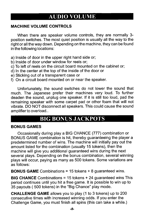# **AUDIO VOLUME**

#### **MACHINE VOLUME CONTROLS**

When there are speaker volume controls, they are normally 3position switches. The most quiet position is usually all the way to the right or all the way down. Depending on the machine, they can be found in the following locations:

- a) Inside of door in the upper right hand side or;
- b) Inside of door under window for reels or;
- c) To left of reels on the circuit board mounted on the cabinet or;
- d) In the center at the top of the inside of the door or
- e) Sticking out of a transparent case or
- f) On a circuit board mounted on or near the speaker.

Unfortunately, the sound switches do not lower the sound that much. The Japanese prefer their machines very loud. To further deaden the sound, unplug one speaker. If it is still too loud, pad the remaining speaker with some carpet pad or other foam that will not vibrate. DO NOT disconnect all speakers. This could cause the sound amplifier to overload..

# **BIG BONUS JACKPOTS**

#### **BONUS GAMES**

Occasionally during play a BIG CHANCE (777) combination or BONUS GAME combination is hit, thereby guaranteeing the player a predetermined number of wins. The machine will initially pay out the amount listed for the combination (usually 15 tokens), then the machine will give you additional guaranteed wins during the next several plays. Depending on the bonus combination, several winning plays will occur, paying as many as 500 tokens. Some variations are as follows:

**BONUS GAME** Combinations = 15 tokens  $+ 8$  guaranteed wins.

**BIG CHANCE** Combinations = 15 tokens + 24 guaranteed wins This period continues until you hit a free game. It is possible to win up to 35 payouts (500 tokens) in the "Big Chance" play mode.

**CHALLENGE GAME** allows you to play (1 to 3 tokens) up to 200 consecutive times with increased winning odds. If you enter the Challenge Game, you must finish all spins (this can take a while.)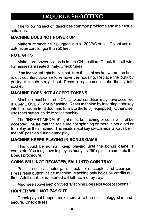## **TROUBLE SHOOTING**

The following section describes common problems and their usual solutions:

#### **MACHINE DOES NOT POWER UP**

Make sure machine is plugged into a 120 VAC outlet. Do not use an extension cord longer than 50 feet.

#### **NO LIGHTS**

Make sure power switch is in the ON position. Check that all wire harnesses are seated firmly. Check fuses.

If an individual light bulb is out, turn the light socket where the bulb is out counterclockwise to remove the housing. Replace the bulb by pulling the bulb straight out. Press a replacement bulb directly into socket.

#### **MACHINE DOES NOT ACCEPT TOKENS**

Machine must be turned ON. Jackpot condition may have occurred if "GAME OVER" light is flashing. Reset machine by inserting door key into the lock on front door and turn it to the left (if equipped). Otherwise, use reset button inside to reset machine.

The "INSERT MEDALS" light must be flashing or coins will not be accepted. Insure that the reels are not spinning or there is not a bet or free play on the machine. The inside reset key switch must always be in the "off" position during game play.

#### **MACHINE KEEPS PLAYING IN BONUS GAME**

This could be normal, keep playing until the bonus game is complete. You may have to play as many as 250 spins to complete the Bonus procedure.

#### COINS WILL NOT REGISTER, FALL INTO COIN TRAY

Possible coin acceptor jam, check coin acceptor and clear jam. Press reset button inside machine. Machine only holds 50 credits at a time. Additional coins inserted will fall into money tray.

Also, see above section titled "Machine Does Not Accept Tokens."

#### HOPPER WILL NOT PAY OUT

Check payout hopper, make sure wire harness is plugged in and secure. Check fuses.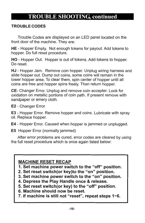# **TROUBLE SHOOTING continued**

#### **TROUBLE CODES**

Trouble Codes are displayed on an LED panel located on the front door of the machine. They are:

HE - Hopper Empty. Not enough tokens for payout. Add tokens to hopper. Do full reset procedure.

HO - Hopper Out. Hopper is out of tokens. Add tokens to hopper. Do reset

HJ - Hopper Jam. Remove coin hopper. Unplug wiring harness and slide hopper out. Dump out coins, some coins will remain in the lower hopper area. To clear them, spin center of hopper until all coins are free and hopper spins freely. Then return hopper.

CE- Changer Error. Unplug and remove coin accepter. Look for oxidation on metallic portions of coin path. If present remove with sandpaper or emery cloth.

E2 - Changer Error

**E3** - Hopper Error. Remove hopper and coins. Lubricate with spray oil. Replace hopper.

E4 - Hopper Error. Caused when hopper is jammed or unplugged.

**E5** Hopper Error (normally jammed)

After error problems are cured, error codes are cleared by using the full reset procedure which is once again listed below:

#### **MACHINE RESET RECAP**

- 1. Set machine power switch to the "off" position.
- 2. Set reset switch(or key)to the "on" position.
- 3. Set machine power switch to the "on" position.
- 4. Depress the Play Handle once & release.
- 5. Set reset switch(or key) to the "off" position.
- 6. Machine should now be reset.
- 7. If machine is still not "reset", repeat steps 1~6.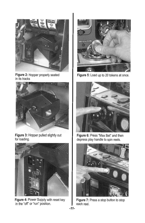

Figure 2: Hopper properly seated in its tracks



Figure 3: Hopper pulled slightly out for loading.



Figure 4: Power Supply with reset key in the "off" or "run" position.



Figure 5: Load up to 20 tokens at once.



Figure 6: Press "Max Bet" and then depress play handle to spin reels.



Figure 7: Press a stop button to stop each reel.